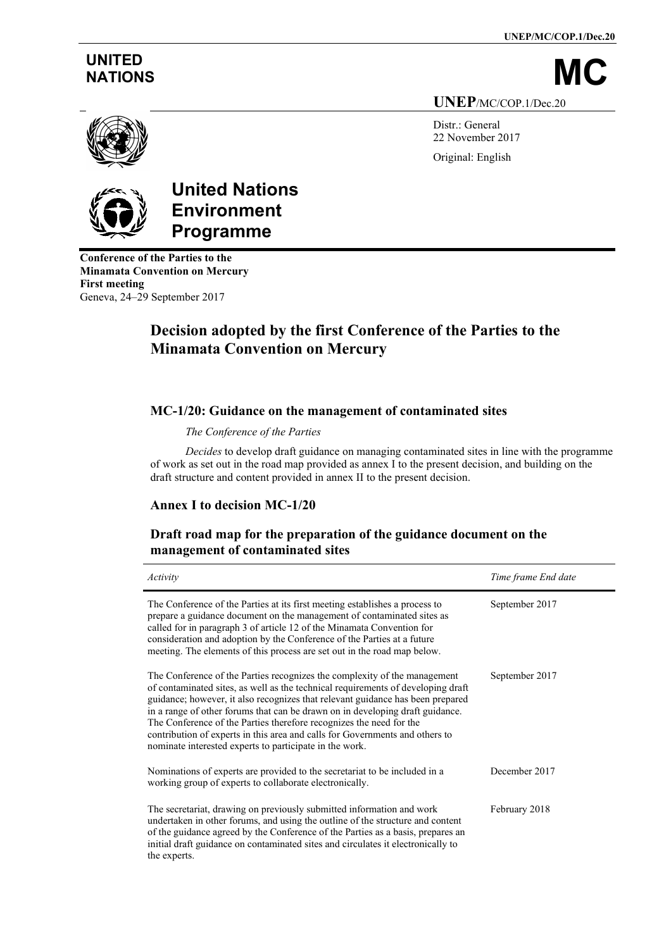**UNEP/MC/COP.1/Dec.20**

# **UNITED**

NATIONS

**UNEP**/MC/COP.1/Dec.20

Distr.: General 22 November 2017 Original: English





# **United Nations Environment Programme**

**Conference of the Parties to the Minamata Convention on Mercury First meeting** Geneva, 24–29 September 2017

# **Decision adopted by the first Conference of the Parties to the Minamata Convention on Mercury**

## **MC-1/20: Guidance on the management of contaminated sites**

*The Conference of the Parties* 

*Decides* to develop draft guidance on managing contaminated sites in line with the programme of work as set out in the road map provided as annex I to the present decision, and building on the draft structure and content provided in annex II to the present decision.

# **Annex I to decision MC-1/20**

## **Draft road map for the preparation of the guidance document on the management of contaminated sites**

| Activity                                                                                                                                                                                                                                                                                                                                                                                                                                                                                                                                           | Time frame End date |
|----------------------------------------------------------------------------------------------------------------------------------------------------------------------------------------------------------------------------------------------------------------------------------------------------------------------------------------------------------------------------------------------------------------------------------------------------------------------------------------------------------------------------------------------------|---------------------|
| The Conference of the Parties at its first meeting establishes a process to<br>prepare a guidance document on the management of contaminated sites as<br>called for in paragraph 3 of article 12 of the Minamata Convention for<br>consideration and adoption by the Conference of the Parties at a future<br>meeting. The elements of this process are set out in the road map below.                                                                                                                                                             | September 2017      |
| The Conference of the Parties recognizes the complexity of the management<br>of contaminated sites, as well as the technical requirements of developing draft<br>guidance; however, it also recognizes that relevant guidance has been prepared<br>in a range of other forums that can be drawn on in developing draft guidance.<br>The Conference of the Parties therefore recognizes the need for the<br>contribution of experts in this area and calls for Governments and others to<br>nominate interested experts to participate in the work. | September 2017      |
| Nominations of experts are provided to the secretariat to be included in a<br>working group of experts to collaborate electronically.                                                                                                                                                                                                                                                                                                                                                                                                              | December 2017       |
| The secretariat, drawing on previously submitted information and work<br>undertaken in other forums, and using the outline of the structure and content<br>of the guidance agreed by the Conference of the Parties as a basis, prepares an<br>initial draft guidance on contaminated sites and circulates it electronically to<br>the experts.                                                                                                                                                                                                     | February 2018       |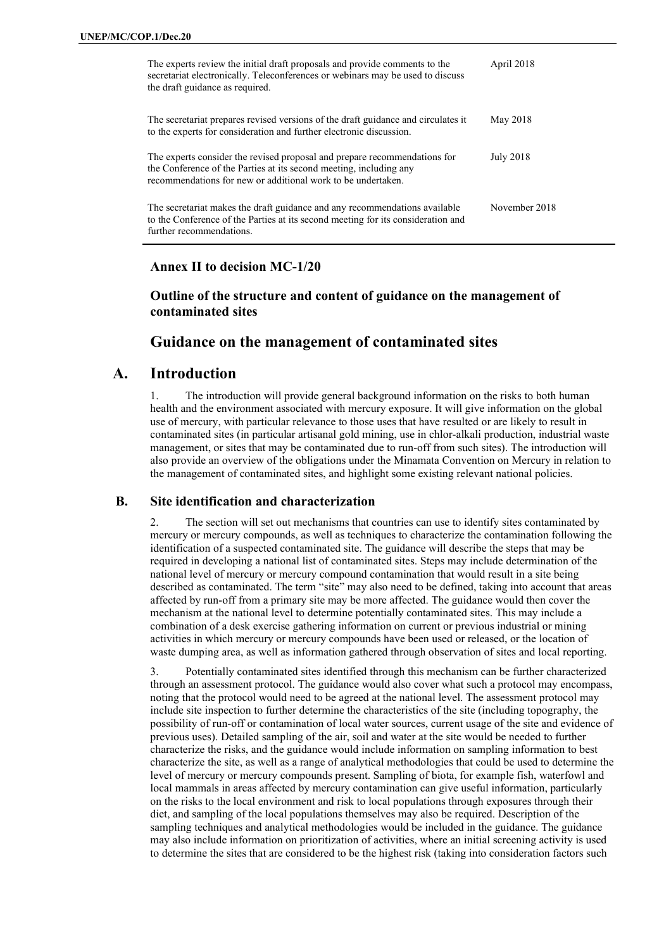| The experts review the initial draft proposals and provide comments to the<br>secretariat electronically. Teleconferences or webinars may be used to discuss<br>the draft guidance as required.                 | April 2018    |
|-----------------------------------------------------------------------------------------------------------------------------------------------------------------------------------------------------------------|---------------|
| The secretariat prepares revised versions of the draft guidance and circulates it<br>to the experts for consideration and further electronic discussion.                                                        | May 2018      |
| The experts consider the revised proposal and prepare recommendations for<br>the Conference of the Parties at its second meeting, including any<br>recommendations for new or additional work to be undertaken. | July 2018     |
| The secretariat makes the draft guidance and any recommendations available<br>to the Conference of the Parties at its second meeting for its consideration and<br>further recommendations.                      | November 2018 |

#### **Annex II to decision MC-1/20**

**Outline of the structure and content of guidance on the management of contaminated sites**

#### **Guidance on the management of contaminated sites**

### **A. Introduction**

The introduction will provide general background information on the risks to both human health and the environment associated with mercury exposure. It will give information on the global use of mercury, with particular relevance to those uses that have resulted or are likely to result in contaminated sites (in particular artisanal gold mining, use in chlor-alkali production, industrial waste management, or sites that may be contaminated due to run-off from such sites). The introduction will also provide an overview of the obligations under the Minamata Convention on Mercury in relation to the management of contaminated sites, and highlight some existing relevant national policies.

#### **B. Site identification and characterization**

2. The section will set out mechanisms that countries can use to identify sites contaminated by mercury or mercury compounds, as well as techniques to characterize the contamination following the identification of a suspected contaminated site. The guidance will describe the steps that may be required in developing a national list of contaminated sites. Steps may include determination of the national level of mercury or mercury compound contamination that would result in a site being described as contaminated. The term "site" may also need to be defined, taking into account that areas affected by run-off from a primary site may be more affected. The guidance would then cover the mechanism at the national level to determine potentially contaminated sites. This may include a combination of a desk exercise gathering information on current or previous industrial or mining activities in which mercury or mercury compounds have been used or released, or the location of waste dumping area, as well as information gathered through observation of sites and local reporting.

3. Potentially contaminated sites identified through this mechanism can be further characterized through an assessment protocol. The guidance would also cover what such a protocol may encompass, noting that the protocol would need to be agreed at the national level. The assessment protocol may include site inspection to further determine the characteristics of the site (including topography, the possibility of run-off or contamination of local water sources, current usage of the site and evidence of previous uses). Detailed sampling of the air, soil and water at the site would be needed to further characterize the risks, and the guidance would include information on sampling information to best characterize the site, as well as a range of analytical methodologies that could be used to determine the level of mercury or mercury compounds present. Sampling of biota, for example fish, waterfowl and local mammals in areas affected by mercury contamination can give useful information, particularly on the risks to the local environment and risk to local populations through exposures through their diet, and sampling of the local populations themselves may also be required. Description of the sampling techniques and analytical methodologies would be included in the guidance. The guidance may also include information on prioritization of activities, where an initial screening activity is used to determine the sites that are considered to be the highest risk (taking into consideration factors such